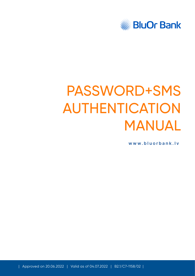

# PASSWORD+SMS AUTHENTICATION MANUAL

**[www.bluorbank.lv](https://www.bluorbank.lv/en/index)**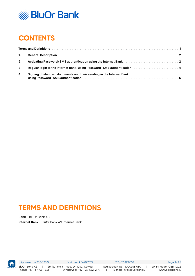

# **CONTENTS**

| 2. |                                                                                                        |  |
|----|--------------------------------------------------------------------------------------------------------|--|
| 3. | Regular login to the Internet Bank, using Password+SMS authentication mass are served by the late of 4 |  |
| 4. | Signing of standard documents and their sending in the Internet Bank                                   |  |

## **TERMS AND DEFINITIONS**

**Bank** – BluOr Bank AS. **Internet Bank** – BluOr Bank AS Internet Bank.



Approved on 20.06.2022 Valid as of 04.07.2022 B2.1/C7-1158/02 Page 1 of 5 BluOr Bank AS | Smilšu iela 6, Rīga, LV-1050, Latvija | Registration No. 40003551060 | SWIFT code: CBBRLV22<br>Phone: +371 67 031 333 | WhatsApp: +371 26 552 244 | E-mail: info@bluorbank.lv | www.bluorbank.lv Phone: +371 67 031 333 | WhatsApp: +371 26 552 244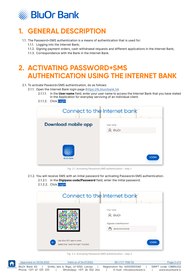<span id="page-2-0"></span>

# **1. GENERAL DESCRIPTION**

- 1.1. The Password+SMS authentication is a means of authentication that is used for:
	- 1.1.1. Logging into the Internet Bank;
	- 1.1.2. Signing payment orders, cash withdrawal requests and different applications in the Internet Bank;
	- 1.1.3. Correspondence with the Bank in the Internet Bank.

### **2. ACTIVATING PASSWORD+SMS AUTHENTICATION USING THE INTERNET BANK**

- 2.1. To activate Pasword+SMS authentication, do as follows:
	- 2.1.1. Open the Internet Bank login page [\(https://ib.bluorbank.lv](https://ib.bluorbank.lv)).
		- 2.1.1.1. In the **User name** field, enter your user name to access the Internet Bank that you have stated in the Application for everyday servicing of an individual client.
		- 2.1.1.2. Click Login.

| Connect to the Internet bank |                        |
|------------------------------|------------------------|
| <b>Download mobile app</b>   | User name<br>$Q$ BluOr |
| <b>BluOr Bank</b>            | <b>LOGIN</b>           |

*Fig. 2.1. Activating Password+SMS authentication – step 1.*

2.1.2. You will receive SMS with an initial password for activating Password+SMS authentication. 2.1.2.1. In the **Digipass code/Password** field, enter the initial password. 2.1.2.2. Click Login.

|                                                                                   | Connect to the Internet bank                   |
|-----------------------------------------------------------------------------------|------------------------------------------------|
|                                                                                   | User name<br>Q BluOr<br>Digipass code/Password |
| Use Blue KEY app to enter<br>$\leftarrow$<br>Select the "Scan for login" function | <b>LOGIN</b>                                   |

*Fig. 2.2. Activating Password+SMS authentication – step 2.*

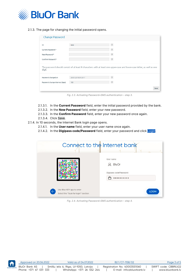

2.1.3. The page for changing the initial password opens.

| Change Password                                                 |                     |                                                                                                                         |  |
|-----------------------------------------------------------------|---------------------|-------------------------------------------------------------------------------------------------------------------------|--|
| ID                                                              | test                | $\pmb{\gamma}$                                                                                                          |  |
| Current Password *                                              |                     | $\pmb{\gamma}$                                                                                                          |  |
| New Password *                                                  |                     | $\,$ ? $\,$                                                                                                             |  |
| Confirm Password *                                              |                     | $\,$ $\,$                                                                                                               |  |
|                                                                 |                     |                                                                                                                         |  |
|                                                                 |                     | The password should consist of at least 8 characters with at least one upper-case and lower-case letter, as well as one |  |
|                                                                 | 28.09.2018 09:30:17 | $\pmb{\gamma}$                                                                                                          |  |
| digit<br>Password changed on<br>Password change interval (days) | 180                 | $\,$ ?                                                                                                                  |  |

*Fig. 2.3. Activating Password+SMS authentication – step 3.*

- 2.1.3.1. In the **Current Password** field, enter the initial password provided by the bank.
- 2.1.3.2. In the **New Password** field, enter your new password.
- 2.1.3.3. In the **Confirm Password** field, enter your new password once again.
- 2.1.3.4. Click Save.

#### 2.1.4. In 10 seconds, the Internet Bank login page opens.

- 2.1.4.1. In the **User name** field, enter your user name once again.
- 2.1.4.2. In the **Digipass code/Password** field, enter your password and click Login.

|                                                                                   | Connect to the Internet bank                     |
|-----------------------------------------------------------------------------------|--------------------------------------------------|
|                                                                                   | User name<br>$Q$ BluOr<br>Digipass code/Password |
| Use Blue KEY app to enter<br>$\leftarrow$<br>Select the "Scan for login" function | <b>LOGIN</b>                                     |

*Fig. 2.4. Activating Password+SMS authentication – step 4.*



|                 | Approved on 20.06.2022 | Valid as of 04,07,2022                | B2.1/C7-1158/02              | Page 3 of 5          |
|-----------------|------------------------|---------------------------------------|------------------------------|----------------------|
| <b>CONTENTS</b> | BluOr Bank AS          | Smilšu iela 6, Rīga, LV-1050, Latvija | Registration No. 40003551060 | SWIFT code: CBBRLV22 |
|                 | Phone: +371 67 031 333 | WhatsApp: +371 26 552 244             | E-mail: info@bluorbank.lv    | www.bluorbank.lv     |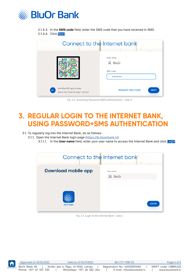<span id="page-4-0"></span>

2.1.4.3. In the **SMS code** field, enter the SMS code that you have received in SMS. 2.1.4.4. Click Next.

|                                                                                   | Connect to the Internet bank           |
|-----------------------------------------------------------------------------------|----------------------------------------|
|                                                                                   | User name<br>Q BluOr<br>SMS code       |
| Use Blue KEY app to enter<br>$\leftarrow$<br>Select the "Scan for login" function | <b>REQUEST SMS CODE</b><br><b>NEXT</b> |

*Fig. 2.5. Activating Password+SMS authentication – step 5.*

#### **3. REGULAR LOGIN TO THE INTERNET BANK, USING PASSWORD+SMS AUTHENTICATION**

3.1. To regularly log into the Internet Bank, do as follows:

3.1.1. Open the Internet Bank login page [\(https://ib.bluorbank.lv](https://ib.bluorbank.lv)).

3.1.1.1. In the **User name** field, enter your user name to access the Internet Bank and click Login.

|                     | Connect to the Internet bank |
|---------------------|------------------------------|
| Download mobile app | User name<br>Q BluOr         |
| <b>BluOr Bank</b>   | <b>LOGIN</b>                 |

*Fig. 3.1. Login to the Internet Bank – step 1.*